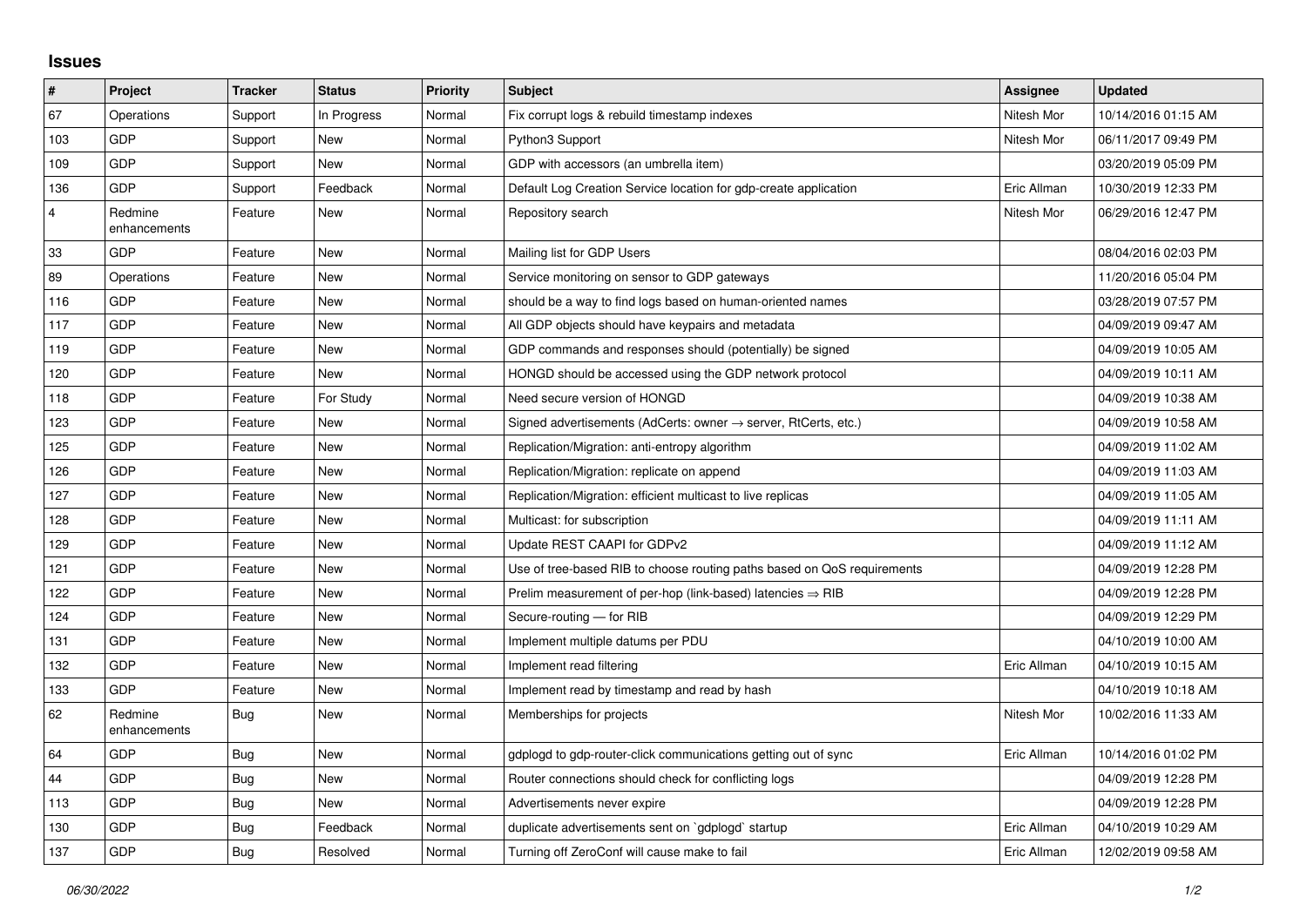## **Issues**

| $\sharp$                | Project                 | <b>Tracker</b> | <b>Status</b> | <b>Priority</b> | <b>Subject</b>                                                             | Assignee    | <b>Updated</b>      |
|-------------------------|-------------------------|----------------|---------------|-----------------|----------------------------------------------------------------------------|-------------|---------------------|
| 67                      | Operations              | Support        | In Progress   | Normal          | Fix corrupt logs & rebuild timestamp indexes                               | Nitesh Mor  | 10/14/2016 01:15 AM |
| 103                     | <b>GDP</b>              | Support        | <b>New</b>    | Normal          | Python3 Support                                                            | Nitesh Mor  | 06/11/2017 09:49 PM |
| 109                     | GDP                     | Support        | <b>New</b>    | Normal          | GDP with accessors (an umbrella item)                                      |             | 03/20/2019 05:09 PM |
| 136                     | <b>GDP</b>              | Support        | Feedback      | Normal          | Default Log Creation Service location for gdp-create application           | Eric Allman | 10/30/2019 12:33 PM |
| $\overline{\mathbf{4}}$ | Redmine<br>enhancements | Feature        | <b>New</b>    | Normal          | Repository search                                                          | Nitesh Mor  | 06/29/2016 12:47 PM |
| 33                      | <b>GDP</b>              | Feature        | New           | Normal          | Mailing list for GDP Users                                                 |             | 08/04/2016 02:03 PM |
| 89                      | Operations              | Feature        | <b>New</b>    | Normal          | Service monitoring on sensor to GDP gateways                               |             | 11/20/2016 05:04 PM |
| 116                     | <b>GDP</b>              | Feature        | <b>New</b>    | Normal          | should be a way to find logs based on human-oriented names                 |             | 03/28/2019 07:57 PM |
| 117                     | GDP                     | Feature        | New           | Normal          | All GDP objects should have keypairs and metadata                          |             | 04/09/2019 09:47 AM |
| 119                     | <b>GDP</b>              | Feature        | <b>New</b>    | Normal          | GDP commands and responses should (potentially) be signed                  |             | 04/09/2019 10:05 AM |
| 120                     | <b>GDP</b>              | Feature        | <b>New</b>    | Normal          | HONGD should be accessed using the GDP network protocol                    |             | 04/09/2019 10:11 AM |
| 118                     | <b>GDP</b>              | Feature        | For Study     | Normal          | Need secure version of HONGD                                               |             | 04/09/2019 10:38 AM |
| 123                     | <b>GDP</b>              | Feature        | <b>New</b>    | Normal          | Signed advertisements (AdCerts: owner $\rightarrow$ server, RtCerts, etc.) |             | 04/09/2019 10:58 AM |
| 125                     | <b>GDP</b>              | Feature        | New           | Normal          | Replication/Migration: anti-entropy algorithm                              |             | 04/09/2019 11:02 AM |
| 126                     | GDP                     | Feature        | <b>New</b>    | Normal          | Replication/Migration: replicate on append                                 |             | 04/09/2019 11:03 AM |
| 127                     | <b>GDP</b>              | Feature        | <b>New</b>    | Normal          | Replication/Migration: efficient multicast to live replicas                |             | 04/09/2019 11:05 AM |
| 128                     | <b>GDP</b>              | Feature        | <b>New</b>    | Normal          | Multicast: for subscription                                                |             | 04/09/2019 11:11 AM |
| 129                     | GDP                     | Feature        | New           | Normal          | Update REST CAAPI for GDPv2                                                |             | 04/09/2019 11:12 AM |
| 121                     | <b>GDP</b>              | Feature        | <b>New</b>    | Normal          | Use of tree-based RIB to choose routing paths based on QoS requirements    |             | 04/09/2019 12:28 PM |
| 122                     | <b>GDP</b>              | Feature        | <b>New</b>    | Normal          | Prelim measurement of per-hop (link-based) latencies ⇒ RIB                 |             | 04/09/2019 12:28 PM |
| 124                     | GDP                     | Feature        | <b>New</b>    | Normal          | Secure-routing - for RIB                                                   |             | 04/09/2019 12:29 PM |
| 131                     | <b>GDP</b>              | Feature        | New           | Normal          | Implement multiple datums per PDU                                          |             | 04/10/2019 10:00 AM |
| 132                     | <b>GDP</b>              | Feature        | <b>New</b>    | Normal          | Implement read filtering                                                   | Eric Allman | 04/10/2019 10:15 AM |
| 133                     | <b>GDP</b>              | Feature        | <b>New</b>    | Normal          | Implement read by timestamp and read by hash                               |             | 04/10/2019 10:18 AM |
| 62                      | Redmine<br>enhancements | Bug            | <b>New</b>    | Normal          | Memberships for projects                                                   | Nitesh Mor  | 10/02/2016 11:33 AM |
| 64                      | <b>GDP</b>              | Bug            | <b>New</b>    | Normal          | gdplogd to gdp-router-click communications getting out of sync             | Eric Allman | 10/14/2016 01:02 PM |
| 44                      | GDP                     | Bug            | <b>New</b>    | Normal          | Router connections should check for conflicting logs                       |             | 04/09/2019 12:28 PM |
| 113                     | <b>GDP</b>              | Bug            | <b>New</b>    | Normal          | Advertisements never expire                                                |             | 04/09/2019 12:28 PM |
| 130                     | <b>GDP</b>              | <b>Bug</b>     | Feedback      | Normal          | duplicate advertisements sent on `gdplogd` startup                         | Eric Allman | 04/10/2019 10:29 AM |
| 137                     | GDP                     | Bug            | Resolved      | Normal          | Turning off ZeroConf will cause make to fail                               | Eric Allman | 12/02/2019 09:58 AM |